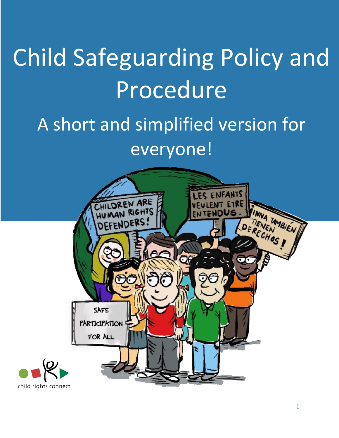# Children Safeguarding Child Safeguarding Policy and Procedure

# Policy Procedure A short and simplified version for everyone!

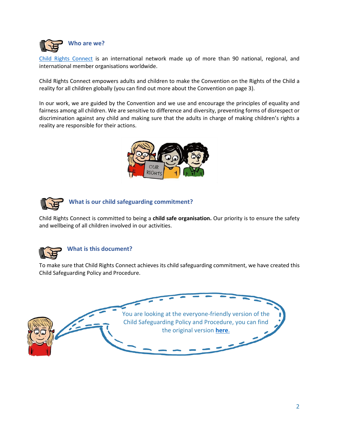

[Child Rights Connect](https://www.childrightsconnect.org/) is an international network made up of more than 90 national, regional, and international member organisations worldwide.

Child Rights Connect empowers adults and children to make the Convention on the Rights of the Child a reality for all children globally (you can find out more about the Convention on page 3).

In our work, we are guided by the Convention and we use and encourage the principles of equality and fairness among all children. We are sensitive to difference and diversity, preventing forms of disrespect or discrimination against any child and making sure that the adults in charge of making children's rights a reality are responsible for their actions.





**What is our child safeguarding commitment?**

Child Rights Connect is committed to being a **child safe organisation.** Our priority is to ensure the safety and wellbeing of all children involved in our activities.



## **What is this document?**

To make sure that Child Rights Connect achieves its child safeguarding commitment, we have created this Child Safeguarding Policy and Procedure.

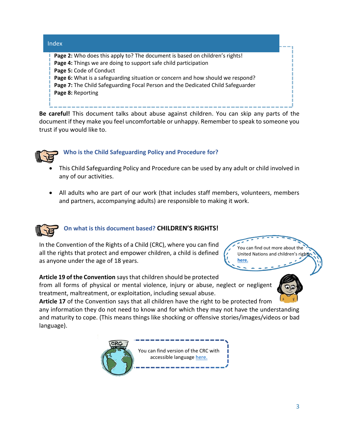| Index                                                                                                                                                                                                                                                                                                                                                               |  |
|---------------------------------------------------------------------------------------------------------------------------------------------------------------------------------------------------------------------------------------------------------------------------------------------------------------------------------------------------------------------|--|
| Page 2: Who does this apply to? The document is based on children's rights!<br>Page 4: Things we are doing to support safe child participation<br>Page 5: Code of Conduct<br>Page 6: What is a safeguarding situation or concern and how should we respond?<br>Page 7: The Child Safeguarding Focal Person and the Dedicated Child Safeguarder<br>Page 8: Reporting |  |

**Be careful!** This document talks about abuse against children. You can skip any parts of the document if they make you feel uncomfortable or unhappy. Remember to speak to someone you trust if you would like to.



# **Who is the Child Safeguarding Policy and Procedure for?**

- This Child Safeguarding Policy and Procedure can be used by any adult or child involved in any of our activities.
- All adults who are part of our work (that includes staff members, volunteers, members and partners, accompanying adults) are responsible to making it work.

# **On what is this document based? CHILDREN'S RIGHTS!**

In the Convention of the Rights of a Child (CRC), where you can find all the rights that protect and empower children, a child is defined as anyone under the age of 18 years.



## **Article 19 of the Convention** says that children should be protected

from all forms of physical or mental violence, injury or abuse, neglect or negligent treatment, maltreatment, or exploitation, including sexual abuse.

**Article 17** of the Convention says that all children have the right to be protected from

any information they do not need to know and for which they may not have the understanding and maturity to cope. (This means things like shocking or offensive stories/images/videos or bad language).

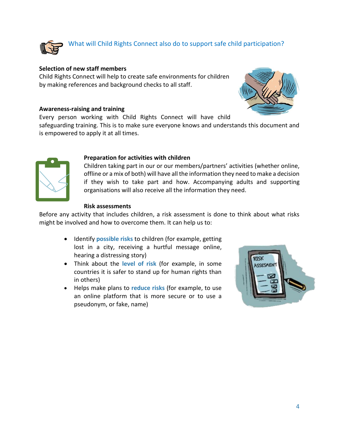

# What will Child Rights Connect also do to support safe child participation?

## **Selection of new staff members**

Child Rights Connect will help to create safe environments for children by making references and background checks to all staff.

#### **Awareness-raising and training**

Every person working with Child Rights Connect will have child

safeguarding training. This is to make sure everyone knows and understands this document and is empowered to apply it at all times.



#### **Preparation for activities with children**

Children taking part in our or our members/partners' activities (whether online, offline or a mix of both) will have all the information they need to make a decision if they wish to take part and how. Accompanying adults and supporting organisations will also receive all the information they need.

## **Risk assessments**

Before any activity that includes children, a risk assessment is done to think about what risks might be involved and how to overcome them. It can help us to:

- Identify **possible risks** to children (for example, getting lost in a city, receiving a hurtful message online, hearing a distressing story)
- Think about the **level of risk** (for example, in some countries it is safer to stand up for human rights than in others)
- Helps make plans to **reduce risks** (for example, to use an online platform that is more secure or to use a pseudonym, or fake, name)



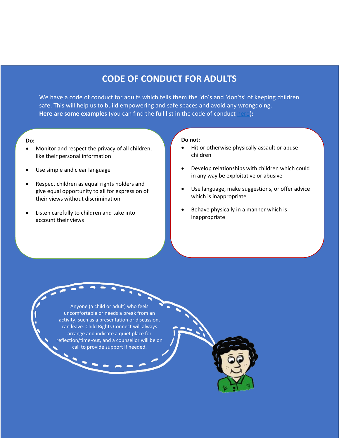# **CODE OF CONDUCT FOR ADULTS**

We have a code of conduct for adults which tells them the 'do's and 'don'ts' of keeping children safe. This will help us to build empowering and safe spaces and avoid any wrongdoing. **Here are some examples** (you can find the full list in the code of conduct [here\)](https://www.childrightsconnect.org/wp-content/uploads/2019/11/child_safeguarding_policy_procedure_2019_final.pdf)**:** 

#### **Do:**

- Monitor and respect the privacy of all children, like their personal information
- Use simple and clear language
- Respect children as equal rights holders and give equal opportunity to all for expression of their views without discrimination
- Listen carefully to children and take into account their views

#### **Do not:**

- Hit or otherwise physically assault or abuse children
- Develop relationships with children which could in any way be exploitative or abusive
- Use language, make suggestions, or offer advice which is inappropriate
- Behave physically in a manner which is inappropriate

Anyone (a child or adult) who feels uncomfortable or needs a break from an activity, such as a presentation or discussion, can leave. Child Rights Connect will always arrange and indicate a quiet place for reflection/time-out, and a counsellor will be on call to provide support if needed.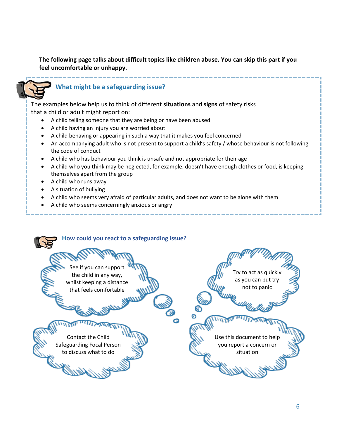**The following page talks about difficult topics like children abuse. You can skip this part if you feel uncomfortable or unhappy.**



# **What might be a safeguarding issue?**

The examples below help us to think of different **situations** and **signs** of safety risks that a child or adult might report on:

- A child telling someone that they are being or have been abused
- A child having an injury you are worried about
- A child behaving or appearing in such a way that it makes you feel concerned
- An accompanying adult who is not present to support a child's safety / whose behaviour is not following the code of conduct
- A child who has behaviour you think is unsafe and not appropriate for their age
- A child who you think may be neglected, for example, doesn't have enough clothes or food, is keeping themselves apart from the group
- A child who runs away
- A situation of bullying
- A child who seems very afraid of particular adults, and does not want to be alone with them
- A child who seems concerningly anxious or angry

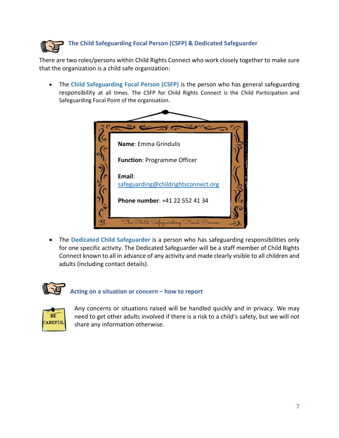

There are two roles/persons within Child Rights Connect who work closely together to make sure that the organization is a child safe organization:

• The **Child Safeguarding Focal Person (CSFP)** is the person who has general safeguarding responsibility at all times. The CSFP for Child Rights Connect is the Child Participation and Safeguarding Focal Point of the organisation.

| $\sim$                                        |  |
|-----------------------------------------------|--|
| Name: Emma Grindulis                          |  |
| <b>Function: Programme Officer</b>            |  |
| Email:<br>safeguarding@childrightsconnect.org |  |
| Phone number: +41 22 552 41 34                |  |
| The Child Safeguarding Focal Person           |  |

• The **Dedicated Child Safeguarder** is a person who has safeguarding responsibilities only for one specific activity. The Dedicated Safeguarder will be a staff member of Child Rights Connect known to all in advance of any activity and made clearly visible to all children and adults (including contact details).



# **Acting on a situation or concern – how to report**



Any concerns or situations raised will be handled quickly and in privacy. We may need to get other adults involved if there is a risk to a child's safety, but we will not share any information otherwise.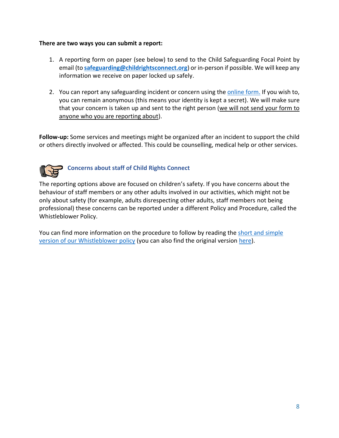## **There are two ways you can submit a report:**

- 1. A reporting form on paper (see below) to send to the Child Safeguarding Focal Point by email (to **[safeguarding@childrightsconnect.org](mailto:safeguarding@childrightsconnect.org)**) or in-person if possible. We will keep any information we receive on paper locked up safely.
- 2. You can report any safeguarding incident or concern using the [online form.](https://www.childrightsconnect.org/child-friendly-whistleblowing-form/) If you wish to, you can remain anonymous (this means your identity is kept a secret). We will make sure that your concern is taken up and sent to the right person (we will not send your form to anyone who you are reporting about).

**Follow-up:** Some services and meetings might be organized after an incident to support the child or others directly involved or affected. This could be counselling, medical help or other services.



# **Concerns about staff of Child Rights Connect**

The reporting options above are focused on children's safety. If you have concerns about the behaviour of staff members or any other adults involved in our activities, which might not be only about safety (for example, adults disrespecting other adults, staff members not being professional) these concerns can be reported under a different Policy and Procedure, called the Whistleblower Policy.

You can find more information on the procedure to follow by reading the short [and simple](https://www.childrightsconnect.org/wp-content/uploads/2021/08/crcnct-whistleblower-policy-everyone-version.pdf) version [of our Whistleblower policy](https://www.childrightsconnect.org/wp-content/uploads/2021/08/crcnct-whistleblower-policy-everyone-version.pdf) (you can also find the original version [here\)](https://www.childrightsconnect.org/wp-content/uploads/2021/08/crcnct-whistleblower-policy.pdf).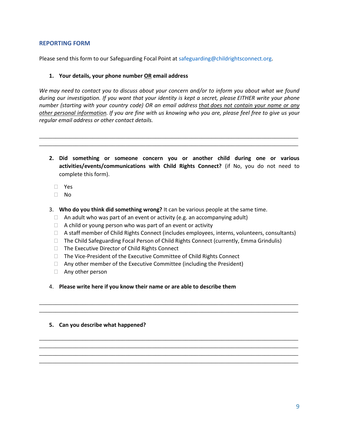#### **REPORTING FORM**

Please send this form to our Safeguarding Focal Point at [safeguarding@childrightsconnect.org.](mailto:safeguarding@childrightsconnect.org)

#### **1. Your details, your phone number OR email address**

*We may need to contact you to discuss about your concern and/or to inform you about what we found during our investigation. If you want that your identity is kept a secret, please EITHER write your phone number (starting with your country code) OR an email address that does not contain your name or any other personal information. If you are fine with us knowing who you are, please feel free to give us your regular email address or other contact details.*

\_\_\_\_\_\_\_\_\_\_\_\_\_\_\_\_\_\_\_\_\_\_\_\_\_\_\_\_\_\_\_\_\_\_\_\_\_\_\_\_\_\_\_\_\_\_\_\_\_\_\_\_\_\_\_\_\_\_\_\_\_\_\_\_\_\_\_\_\_\_\_\_\_\_\_\_\_\_ \_\_\_\_\_\_\_\_\_\_\_\_\_\_\_\_\_\_\_\_\_\_\_\_\_\_\_\_\_\_\_\_\_\_\_\_\_\_\_\_\_\_\_\_\_\_\_\_\_\_\_\_\_\_\_\_\_\_\_\_\_\_\_\_\_\_\_\_\_\_\_\_\_\_\_\_\_\_

- **2. Did something or someone concern you or another child during one or various activities/events/communications with Child Rights Connect?** (if No, you do not need to complete this form).
	- Yes
	- $\Box$  No
- 3. **Who do you think did something wrong?** It can be various people at the same time.
	- $\Box$  An adult who was part of an event or activity (e.g. an accompanying adult)
	- $\Box$  A child or young person who was part of an event or activity
	- $\Box$  A staff member of Child Rights Connect (includes employees, interns, volunteers, consultants)
	- $\Box$  The Child Safeguarding Focal Person of Child Rights Connect (currently, Emma Grindulis)

\_\_\_\_\_\_\_\_\_\_\_\_\_\_\_\_\_\_\_\_\_\_\_\_\_\_\_\_\_\_\_\_\_\_\_\_\_\_\_\_\_\_\_\_\_\_\_\_\_\_\_\_\_\_\_\_\_\_\_\_\_\_\_\_\_\_\_\_\_\_\_\_\_\_\_\_\_\_ \_\_\_\_\_\_\_\_\_\_\_\_\_\_\_\_\_\_\_\_\_\_\_\_\_\_\_\_\_\_\_\_\_\_\_\_\_\_\_\_\_\_\_\_\_\_\_\_\_\_\_\_\_\_\_\_\_\_\_\_\_\_\_\_\_\_\_\_\_\_\_\_\_\_\_\_\_\_

\_\_\_\_\_\_\_\_\_\_\_\_\_\_\_\_\_\_\_\_\_\_\_\_\_\_\_\_\_\_\_\_\_\_\_\_\_\_\_\_\_\_\_\_\_\_\_\_\_\_\_\_\_\_\_\_\_\_\_\_\_\_\_\_\_\_\_\_\_\_\_\_\_\_\_\_\_\_ \_\_\_\_\_\_\_\_\_\_\_\_\_\_\_\_\_\_\_\_\_\_\_\_\_\_\_\_\_\_\_\_\_\_\_\_\_\_\_\_\_\_\_\_\_\_\_\_\_\_\_\_\_\_\_\_\_\_\_\_\_\_\_\_\_\_\_\_\_\_\_\_\_\_\_\_\_\_ \_\_\_\_\_\_\_\_\_\_\_\_\_\_\_\_\_\_\_\_\_\_\_\_\_\_\_\_\_\_\_\_\_\_\_\_\_\_\_\_\_\_\_\_\_\_\_\_\_\_\_\_\_\_\_\_\_\_\_\_\_\_\_\_\_\_\_\_\_\_\_\_\_\_\_\_\_\_ \_\_\_\_\_\_\_\_\_\_\_\_\_\_\_\_\_\_\_\_\_\_\_\_\_\_\_\_\_\_\_\_\_\_\_\_\_\_\_\_\_\_\_\_\_\_\_\_\_\_\_\_\_\_\_\_\_\_\_\_\_\_\_\_\_\_\_\_\_\_\_\_\_\_\_\_\_\_

- □ The Executive Director of Child Rights Connect
- □ The Vice-President of the Executive Committee of Child Rights Connect
- $\Box$  Any other member of the Executive Committee (including the President)
- □ Any other person
- 4. **Please write here if you know their name or are able to describe them**

#### **5. Can you describe what happened?**